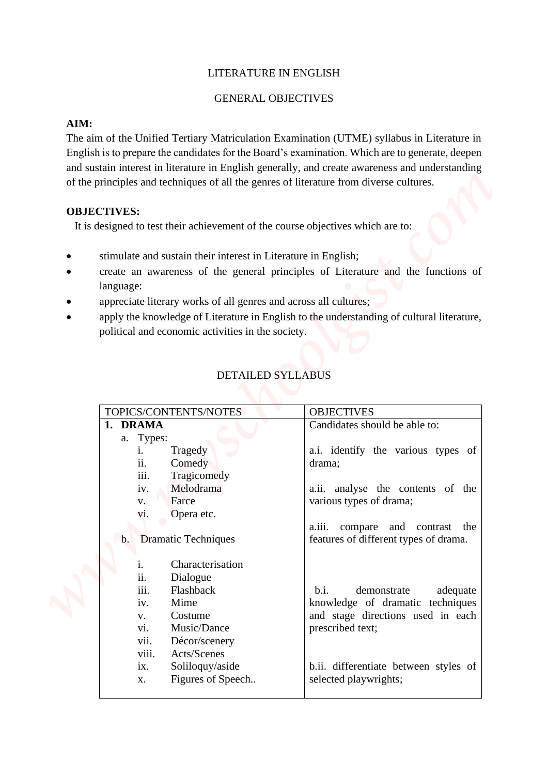#### LITERATURE IN ENGLISH

#### GENERAL OBJECTIVES

#### **AIM:**

#### **OBJECTIVES:**

- stimulate and sustain their interest in Literature in English;
- create an awareness of the general principles of Literature and the functions of language:
- appreciate literary works of all genres and across all cultures;
- apply the knowledge of Literature in English to the understanding of cultural literature, political and economic activities in the society.

| <b>DETAILED SYLLABUS</b> |
|--------------------------|
|                          |

| LITERATURE IN ENGLISH                                                                                                                                                                                                                                                                                                                                                                               |                                                                                                                                                                               |
|-----------------------------------------------------------------------------------------------------------------------------------------------------------------------------------------------------------------------------------------------------------------------------------------------------------------------------------------------------------------------------------------------------|-------------------------------------------------------------------------------------------------------------------------------------------------------------------------------|
| <b>GENERAL OBJECTIVES</b>                                                                                                                                                                                                                                                                                                                                                                           |                                                                                                                                                                               |
|                                                                                                                                                                                                                                                                                                                                                                                                     |                                                                                                                                                                               |
| AIM:<br>The aim of the Unified Tertiary Matriculation Examination (UTME) syllabus in Literature in<br>English is to prepare the candidates for the Board's examination. Which are to generate, deepen<br>and sustain interest in literature in English generally, and create awareness and understanding<br>of the principles and techniques of all the genres of literature from diverse cultures. |                                                                                                                                                                               |
| <b>OBJECTIVES:</b>                                                                                                                                                                                                                                                                                                                                                                                  |                                                                                                                                                                               |
| It is designed to test their achievement of the course objectives which are to:                                                                                                                                                                                                                                                                                                                     |                                                                                                                                                                               |
| stimulate and sustain their interest in Literature in English;<br>language:<br>appreciate literary works of all genres and across all cultures;<br>political and economic activities in the society.                                                                                                                                                                                                | create an awareness of the general principles of Literature and the functions of<br>apply the knowledge of Literature in English to the understanding of cultural literature, |
|                                                                                                                                                                                                                                                                                                                                                                                                     |                                                                                                                                                                               |
| <b>DETAILED SYLLABUS</b>                                                                                                                                                                                                                                                                                                                                                                            |                                                                                                                                                                               |
|                                                                                                                                                                                                                                                                                                                                                                                                     |                                                                                                                                                                               |
|                                                                                                                                                                                                                                                                                                                                                                                                     |                                                                                                                                                                               |
| TOPICS/CONTENTS/NOTES                                                                                                                                                                                                                                                                                                                                                                               | <b>OBJECTIVES</b>                                                                                                                                                             |
| 1. DRAMA                                                                                                                                                                                                                                                                                                                                                                                            | Candidates should be able to:                                                                                                                                                 |
| a. Types:<br>Tragedy<br>$\mathbf{1}$ .<br>ii.<br>Comedy                                                                                                                                                                                                                                                                                                                                             | a.i. identify the various types of<br>drama;                                                                                                                                  |
| iii.<br>Tragicomedy<br>Melodrama<br>iv.<br>Farce<br>V.<br>Opera etc.<br>vi.                                                                                                                                                                                                                                                                                                                         | a.ii. analyse the contents of the<br>various types of drama;                                                                                                                  |
| <b>b.</b> Dramatic Techniques                                                                                                                                                                                                                                                                                                                                                                       | a.iii. compare and contrast the<br>features of different types of drama.                                                                                                      |
| Characterisation<br>1.<br>ii.<br>Dialogue<br>iii.<br>Flashback<br>Mime<br>iv.<br>Costume<br>V.<br>Music/Dance<br>vi.<br>vii.<br>Décor/scenery<br>viii.<br>Acts/Scenes                                                                                                                                                                                                                               | demonstrate<br>b.i.<br>adequate<br>knowledge of dramatic techniques<br>and stage directions used in each<br>prescribed text;                                                  |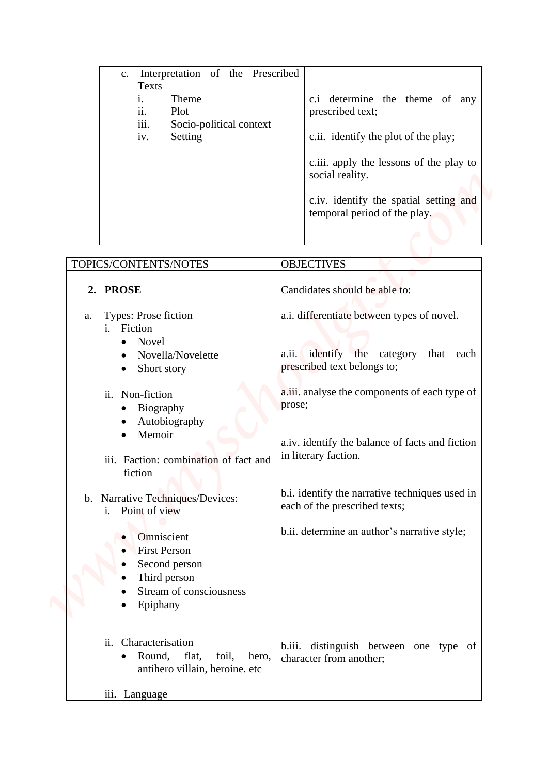| Interpretation of the Prescribed<br>$c_{\cdot}$ |                                         |
|-------------------------------------------------|-----------------------------------------|
| Texts                                           |                                         |
| Theme                                           | c.i determine the theme of<br>any       |
| $\ddot{\phantom{0}}$<br>Plot<br>11.             | prescribed text;                        |
| $\cdots$<br>Socio-political context<br>111.     |                                         |
| Setting<br>iv.                                  | c.ii. identify the plot of the play;    |
|                                                 |                                         |
|                                                 | c.iii. apply the lessons of the play to |
|                                                 | social reality.                         |
|                                                 |                                         |
|                                                 | c.iv. identify the spatial setting and  |
|                                                 | temporal period of the play.            |
|                                                 |                                         |
|                                                 |                                         |

|    | Interpretation of the Prescribed<br>c.<br><b>Texts</b><br>Theme<br>i.<br>ii.<br>Plot<br>iii.<br>Socio-political context<br>Setting<br>iv.                                                                                                                      |        | c.i determine the theme of any<br>prescribed text;<br>c.ii. identify the plot of the play;<br>c.iii. apply the lessons of the play to<br>social reality.<br>c.iv. identify the spatial setting and<br>temporal period of the play.                                                                  |
|----|----------------------------------------------------------------------------------------------------------------------------------------------------------------------------------------------------------------------------------------------------------------|--------|-----------------------------------------------------------------------------------------------------------------------------------------------------------------------------------------------------------------------------------------------------------------------------------------------------|
|    |                                                                                                                                                                                                                                                                |        |                                                                                                                                                                                                                                                                                                     |
|    | TOPICS/CONTENTS/NOTES                                                                                                                                                                                                                                          |        | <b>OBJECTIVES</b>                                                                                                                                                                                                                                                                                   |
|    | 2. PROSE                                                                                                                                                                                                                                                       |        | Candidates should be able to:                                                                                                                                                                                                                                                                       |
| a. | Types: Prose fiction<br>i. Fiction<br>Novel<br>$\bullet$<br>Novella/Novelette<br>Short story<br>$\bullet$<br>ii. Non-fiction<br>• Biography<br>Autobiography<br>Memoir<br>iii. Faction: combination of fact and<br>fiction<br>b. Narrative Techniques/Devices: | prose; | a.i. differentiate between types of novel.<br>a.ii. identify the category<br>that each<br>prescribed text belongs to;<br>a.iii. analyse the components of each type of<br>a.iv. identify the balance of facts and fiction<br>in literary faction.<br>b.i. identify the narrative techniques used in |
|    | i. Point of view<br>Omniscient<br><b>First Person</b><br>Second person<br>Third person<br>Stream of consciousness<br>Epiphany                                                                                                                                  |        | each of the prescribed texts;<br>b.ii. determine an author's narrative style;                                                                                                                                                                                                                       |
|    | Characterisation<br>ii.<br>Round,<br>flat,<br>foil,<br>hero,<br>$\bullet$<br>antihero villain, heroine. etc                                                                                                                                                    | b.iii. | distinguish between one type of<br>character from another;                                                                                                                                                                                                                                          |
|    | iii. Language                                                                                                                                                                                                                                                  |        |                                                                                                                                                                                                                                                                                                     |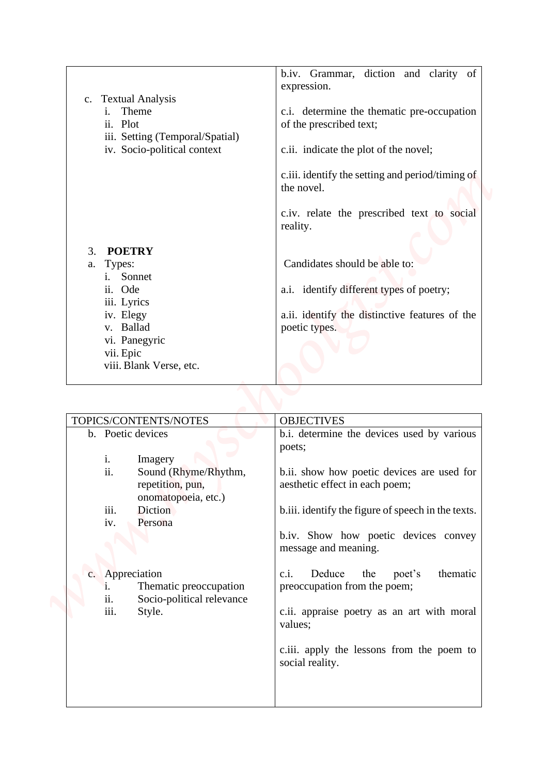|                |                                                    | b.iv. Grammar, diction and clarity of                |
|----------------|----------------------------------------------------|------------------------------------------------------|
|                |                                                    | expression.                                          |
| $\mathbf{c}$ . | <b>Textual Analysis</b>                            |                                                      |
|                | Theme                                              | c.i. determine the thematic pre-occupation           |
|                | ii. Plot                                           | of the prescribed text;                              |
|                | iii. Setting (Temporal/Spatial)                    |                                                      |
|                | iv. Socio-political context                        | c.ii. indicate the plot of the novel;                |
|                |                                                    | c.iii. identify the setting and period/timing of     |
|                |                                                    | the novel.                                           |
|                |                                                    |                                                      |
|                |                                                    | c.iv. relate the prescribed text to social           |
|                |                                                    | reality.                                             |
|                |                                                    |                                                      |
| 3.             | <b>POETRY</b><br>Types:                            | Candidates should be able to:                        |
| a.             | Sonnet<br>i.                                       |                                                      |
|                | ii. Ode                                            | a.i. identify different types of poetry;             |
|                | iii. Lyrics                                        |                                                      |
|                | iv. Elegy                                          | a.ii. identify the distinctive features of the       |
|                | v. Ballad                                          | poetic types.                                        |
|                | vi. Panegyric                                      |                                                      |
|                | vii. Epic                                          |                                                      |
|                | viii. Blank Verse, etc.                            |                                                      |
|                |                                                    |                                                      |
|                |                                                    |                                                      |
|                |                                                    |                                                      |
|                | TOPICS/CONTENTS/NOTES                              | <b>OBJECTIVES</b>                                    |
|                | b. Poetic devices                                  | b.i. determine the devices used by various<br>poets; |
|                | i.<br>Imagery                                      |                                                      |
|                | ii.<br>Sound (Rhyme/Rhythm,                        | b.ii. show how poetic devices are used for           |
|                | repetition, pun,                                   | aesthetic effect in each poem;                       |
|                | onomatopoeia, etc.)                                |                                                      |
|                | iii.<br>Diction                                    | b.iii. identify the figure of speech in the texts.   |
|                | Persona<br>iv.                                     |                                                      |
|                |                                                    | b.iv. Show how poetic devices convey                 |
|                |                                                    | message and meaning.                                 |
|                | c. Appreciation                                    | Deduce<br>c.i.<br>the<br>poet's<br>thematic          |
|                | Thematic preoccupation<br>$\ddot{1}$ .             | preoccupation from the poem;                         |
|                | ii.<br>Socio-political relevance<br>iii.<br>Style. | c.ii. appraise poetry as an art with moral           |

| TOPICS/CONTENTS/NOTES                                                                                                                    | <b>OBJECTIVES</b>                                                                                                                                                                                    |
|------------------------------------------------------------------------------------------------------------------------------------------|------------------------------------------------------------------------------------------------------------------------------------------------------------------------------------------------------|
| b. Poetic devices                                                                                                                        | b.i. determine the devices used by various<br>poets;                                                                                                                                                 |
| $\mathbf{i}$ .<br>Imagery<br>ii.<br>Sound (Rhyme/Rhythm,<br>repetition, pun,<br>onomatopoeia, etc.)<br>iii.<br>Diction<br>iv.<br>Persona | b.ii. show how poetic devices are used for<br>aesthetic effect in each poem;<br>b.iii. identify the figure of speech in the texts.<br>b.iv. Show how poetic devices convey<br>message and meaning.   |
| c. Appreciation<br>Thematic preoccupation<br>i.<br>Socio-political relevance<br>11.<br>iii.<br>Style.                                    | c.i.<br>Deduce<br>the<br>poet's<br>thematic<br>preoccupation from the poem;<br>c.ii. appraise poetry as an art with moral<br>values;<br>c.iii. apply the lessons from the poem to<br>social reality. |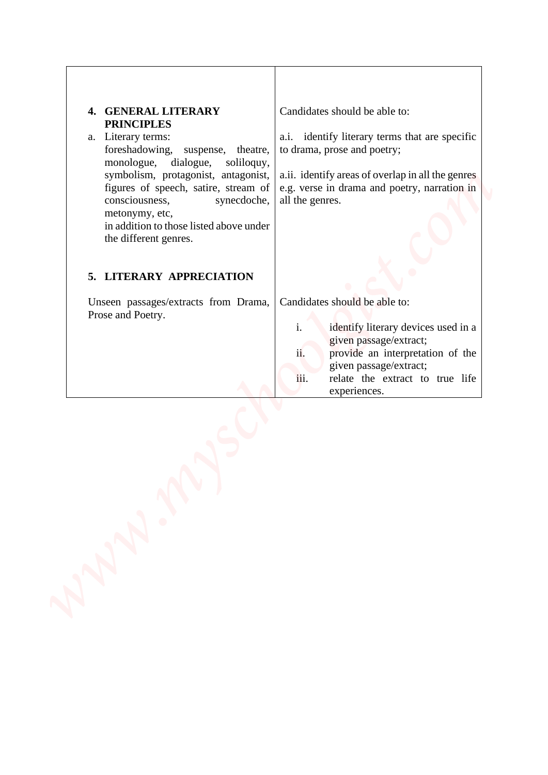| 4. GENERAL LITERARY<br><b>PRINCIPLES</b><br>a. Literary terms:<br>foreshadowing, suspense, theatre,<br>dialogue,<br>monologue,<br>soliloquy,<br>symbolism, protagonist, antagonist,<br>figures of speech, satire, stream of<br>consciousness,<br>synecdoche, | Candidates should be able to:<br>a.i. identify literary terms that are specific<br>to drama, prose and poetry;<br>a.ii. identify areas of overlap in all the genres<br>e.g. verse in drama and poetry, narration in<br>all the genres. |
|--------------------------------------------------------------------------------------------------------------------------------------------------------------------------------------------------------------------------------------------------------------|----------------------------------------------------------------------------------------------------------------------------------------------------------------------------------------------------------------------------------------|
| metonymy, etc,<br>in addition to those listed above under<br>the different genres.<br>5. LITERARY APPRECIATION                                                                                                                                               |                                                                                                                                                                                                                                        |
| Unseen passages/extracts from Drama,<br>Prose and Poetry.                                                                                                                                                                                                    | Candidates should be able to:<br>i.<br>identify literary devices used in a<br>given passage/extract;<br>provide an interpretation of the<br>ii.<br>given passage/extract;<br>iii.<br>relate the extract to true life<br>experiences.   |
| $\mathcal{N}$                                                                                                                                                                                                                                                |                                                                                                                                                                                                                                        |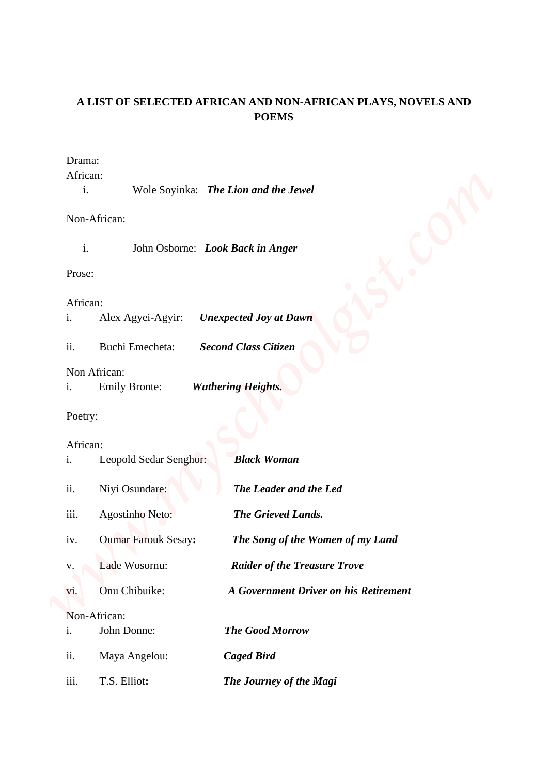# **A LIST OF SELECTED AFRICAN AND NON-AFRICAN PLAYS, NOVELS AND POEMS**

### Drama:

|  |  | Wole Soyinka: The Lion and the Jewel |
|--|--|--------------------------------------|
|--|--|--------------------------------------|

# Non-African:

| -1. |  | John Osborne: Look Back in Anger |
|-----|--|----------------------------------|
|-----|--|----------------------------------|

### Prose:

### African:

| 1. | Alex Agyei-Agyir: | <b>Unexpected Joy at Dawn</b> |
|----|-------------------|-------------------------------|
|----|-------------------|-------------------------------|

# Non African:

# Poetry:

# African:

| <b>POEMS</b><br>African:<br>i.<br>Wole Soyinka: The Lion and the Jewel<br>Non-African:<br>$\mathbf{i}$ .<br>John Osborne: Look Back in Anger<br><b>Unexpected Joy at Dawn</b><br>Alex Agyei-Agyir:<br><b>Second Class Citizen</b><br><b>Buchi Emecheta:</b><br>Non African:<br><b>Wuthering Heights.</b><br><b>Emily Bronte:</b><br><b>Black Woman</b><br>Leopold Sedar Senghor:<br>Niyi Osundare:<br>The Leader and the Led<br>The Grieved Lands.<br>Agostinho Neto:<br><b>Oumar Farouk Sesay:</b><br>The Song of the Women of my Land<br>Lade Wosornu:<br><b>Raider of the Treasure Trove</b><br>Onu Chibuike:<br>A Government Driver on his Retirement<br>Non-African:<br>John Donne:<br><b>The Good Morrow</b><br>Maya Angelou:<br><b>Caged Bird</b> |                |              | A LIST OF SELECTED AFRICAN AND NON-AFRICAN PLAYS, NOVELS AND |  |
|----------------------------------------------------------------------------------------------------------------------------------------------------------------------------------------------------------------------------------------------------------------------------------------------------------------------------------------------------------------------------------------------------------------------------------------------------------------------------------------------------------------------------------------------------------------------------------------------------------------------------------------------------------------------------------------------------------------------------------------------------------|----------------|--------------|--------------------------------------------------------------|--|
|                                                                                                                                                                                                                                                                                                                                                                                                                                                                                                                                                                                                                                                                                                                                                          |                |              |                                                              |  |
|                                                                                                                                                                                                                                                                                                                                                                                                                                                                                                                                                                                                                                                                                                                                                          | Drama:         |              |                                                              |  |
|                                                                                                                                                                                                                                                                                                                                                                                                                                                                                                                                                                                                                                                                                                                                                          |                |              |                                                              |  |
|                                                                                                                                                                                                                                                                                                                                                                                                                                                                                                                                                                                                                                                                                                                                                          |                |              |                                                              |  |
|                                                                                                                                                                                                                                                                                                                                                                                                                                                                                                                                                                                                                                                                                                                                                          |                |              |                                                              |  |
|                                                                                                                                                                                                                                                                                                                                                                                                                                                                                                                                                                                                                                                                                                                                                          | Prose:         |              |                                                              |  |
|                                                                                                                                                                                                                                                                                                                                                                                                                                                                                                                                                                                                                                                                                                                                                          | African:<br>i. |              |                                                              |  |
|                                                                                                                                                                                                                                                                                                                                                                                                                                                                                                                                                                                                                                                                                                                                                          | ii.            |              |                                                              |  |
|                                                                                                                                                                                                                                                                                                                                                                                                                                                                                                                                                                                                                                                                                                                                                          |                |              |                                                              |  |
|                                                                                                                                                                                                                                                                                                                                                                                                                                                                                                                                                                                                                                                                                                                                                          | i.             |              |                                                              |  |
|                                                                                                                                                                                                                                                                                                                                                                                                                                                                                                                                                                                                                                                                                                                                                          | Poetry:        |              |                                                              |  |
|                                                                                                                                                                                                                                                                                                                                                                                                                                                                                                                                                                                                                                                                                                                                                          | African:<br>i. |              |                                                              |  |
|                                                                                                                                                                                                                                                                                                                                                                                                                                                                                                                                                                                                                                                                                                                                                          | ii.            |              |                                                              |  |
|                                                                                                                                                                                                                                                                                                                                                                                                                                                                                                                                                                                                                                                                                                                                                          | iii.           |              |                                                              |  |
|                                                                                                                                                                                                                                                                                                                                                                                                                                                                                                                                                                                                                                                                                                                                                          | iv.            |              |                                                              |  |
|                                                                                                                                                                                                                                                                                                                                                                                                                                                                                                                                                                                                                                                                                                                                                          | ${\bf V}$ .    |              |                                                              |  |
|                                                                                                                                                                                                                                                                                                                                                                                                                                                                                                                                                                                                                                                                                                                                                          | vi.            |              |                                                              |  |
|                                                                                                                                                                                                                                                                                                                                                                                                                                                                                                                                                                                                                                                                                                                                                          |                |              |                                                              |  |
|                                                                                                                                                                                                                                                                                                                                                                                                                                                                                                                                                                                                                                                                                                                                                          | i.<br>ii.      |              |                                                              |  |
|                                                                                                                                                                                                                                                                                                                                                                                                                                                                                                                                                                                                                                                                                                                                                          | iii.           | T.S. Elliot: | The Journey of the Magi                                      |  |